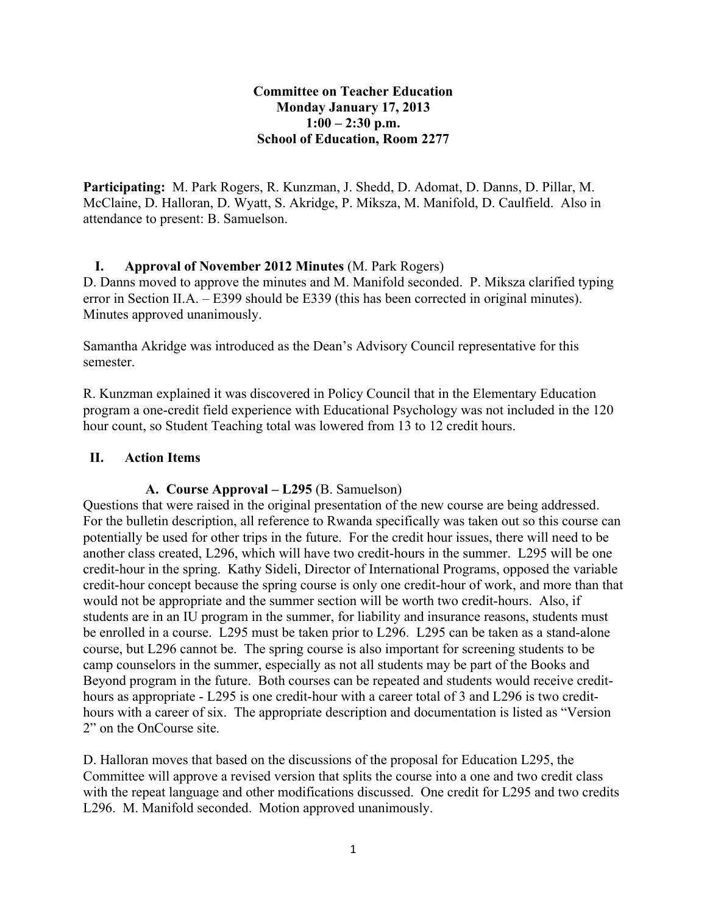## **Committee on Teacher Education Monday January 17, 2013 1:00 – 2:30 p.m. School of Education, Room 2277**

**Participating:** M. Park Rogers, R. Kunzman, J. Shedd, D. Adomat, D. Danns, D. Pillar, M. McClaine, D. Halloran, D. Wyatt, S. Akridge, P. Miksza, M. Manifold, D. Caulfield. Also in attendance to present: B. Samuelson.

# **I. Approval of November 2012 Minutes** (M. Park Rogers)

D. Danns moved to approve the minutes and M. Manifold seconded. P. Miksza clarified typing error in Section II.A. – E399 should be E339 (this has been corrected in original minutes). Minutes approved unanimously.

Samantha Akridge was introduced as the Dean's Advisory Council representative for this semester.

R. Kunzman explained it was discovered in Policy Council that in the Elementary Education program a one-credit field experience with Educational Psychology was not included in the 120 hour count, so Student Teaching total was lowered from 13 to 12 credit hours.

#### **II. Action Items**

## **A. Course Approval – L295** (B. Samuelson)

Questions that were raised in the original presentation of the new course are being addressed. For the bulletin description, all reference to Rwanda specifically was taken out so this course can potentially be used for other trips in the future. For the credit hour issues, there will need to be another class created, L296, which will have two credit-hours in the summer. L295 will be one credit-hour in the spring. Kathy Sideli, Director of International Programs, opposed the variable credit-hour concept because the spring course is only one credit-hour of work, and more than that would not be appropriate and the summer section will be worth two credit-hours. Also, if students are in an IU program in the summer, for liability and insurance reasons, students must be enrolled in a course. L295 must be taken prior to L296. L295 can be taken as a stand-alone course, but L296 cannot be. The spring course is also important for screening students to be camp counselors in the summer, especially as not all students may be part of the Books and Beyond program in the future. Both courses can be repeated and students would receive credithours as appropriate - L295 is one credit-hour with a career total of 3 and L296 is two credithours with a career of six. The appropriate description and documentation is listed as "Version 2" on the OnCourse site.

D. Halloran moves that based on the discussions of the proposal for Education L295, the Committee will approve a revised version that splits the course into a one and two credit class with the repeat language and other modifications discussed. One credit for L295 and two credits L296. M. Manifold seconded. Motion approved unanimously.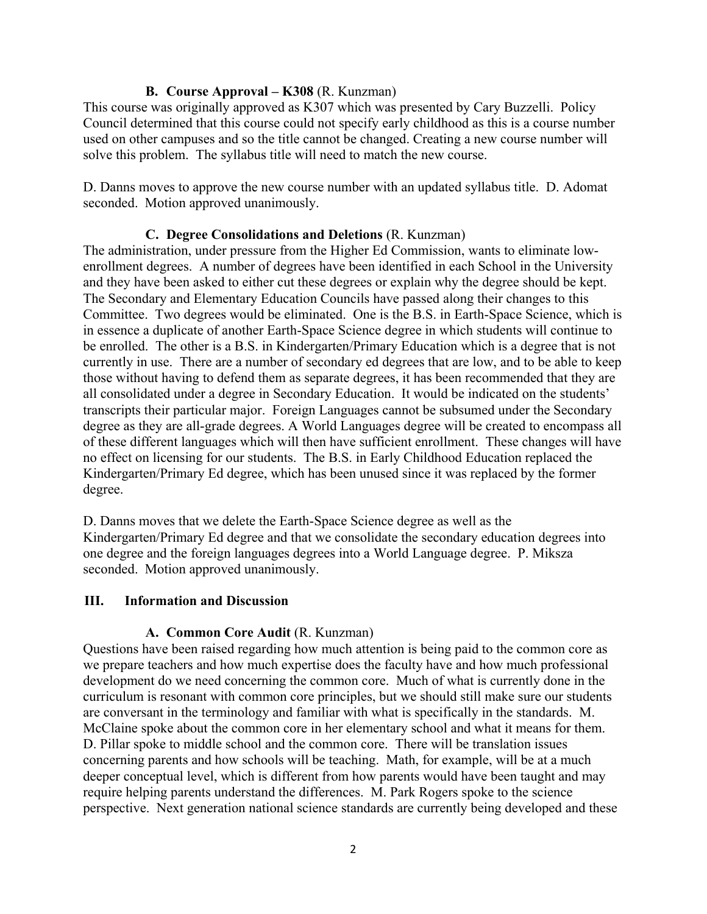## **B. Course Approval – K308** (R. Kunzman)

This course was originally approved as K307 which was presented by Cary Buzzelli. Policy Council determined that this course could not specify early childhood as this is a course number used on other campuses and so the title cannot be changed. Creating a new course number will solve this problem. The syllabus title will need to match the new course.

D. Danns moves to approve the new course number with an updated syllabus title. D. Adomat seconded. Motion approved unanimously.

## **C. Degree Consolidations and Deletions** (R. Kunzman)

The administration, under pressure from the Higher Ed Commission, wants to eliminate lowenrollment degrees. A number of degrees have been identified in each School in the University and they have been asked to either cut these degrees or explain why the degree should be kept. The Secondary and Elementary Education Councils have passed along their changes to this Committee. Two degrees would be eliminated. One is the B.S. in Earth-Space Science, which is in essence a duplicate of another Earth-Space Science degree in which students will continue to be enrolled. The other is a B.S. in Kindergarten/Primary Education which is a degree that is not currently in use. There are a number of secondary ed degrees that are low, and to be able to keep those without having to defend them as separate degrees, it has been recommended that they are all consolidated under a degree in Secondary Education. It would be indicated on the students' transcripts their particular major. Foreign Languages cannot be subsumed under the Secondary degree as they are all-grade degrees. A World Languages degree will be created to encompass all of these different languages which will then have sufficient enrollment. These changes will have no effect on licensing for our students. The B.S. in Early Childhood Education replaced the Kindergarten/Primary Ed degree, which has been unused since it was replaced by the former degree.

D. Danns moves that we delete the Earth-Space Science degree as well as the Kindergarten/Primary Ed degree and that we consolidate the secondary education degrees into one degree and the foreign languages degrees into a World Language degree. P. Miksza seconded. Motion approved unanimously.

#### **III. Information and Discussion**

# **A. Common Core Audit** (R. Kunzman)

Questions have been raised regarding how much attention is being paid to the common core as we prepare teachers and how much expertise does the faculty have and how much professional development do we need concerning the common core. Much of what is currently done in the curriculum is resonant with common core principles, but we should still make sure our students are conversant in the terminology and familiar with what is specifically in the standards. M. McClaine spoke about the common core in her elementary school and what it means for them. D. Pillar spoke to middle school and the common core. There will be translation issues concerning parents and how schools will be teaching. Math, for example, will be at a much deeper conceptual level, which is different from how parents would have been taught and may require helping parents understand the differences. M. Park Rogers spoke to the science perspective. Next generation national science standards are currently being developed and these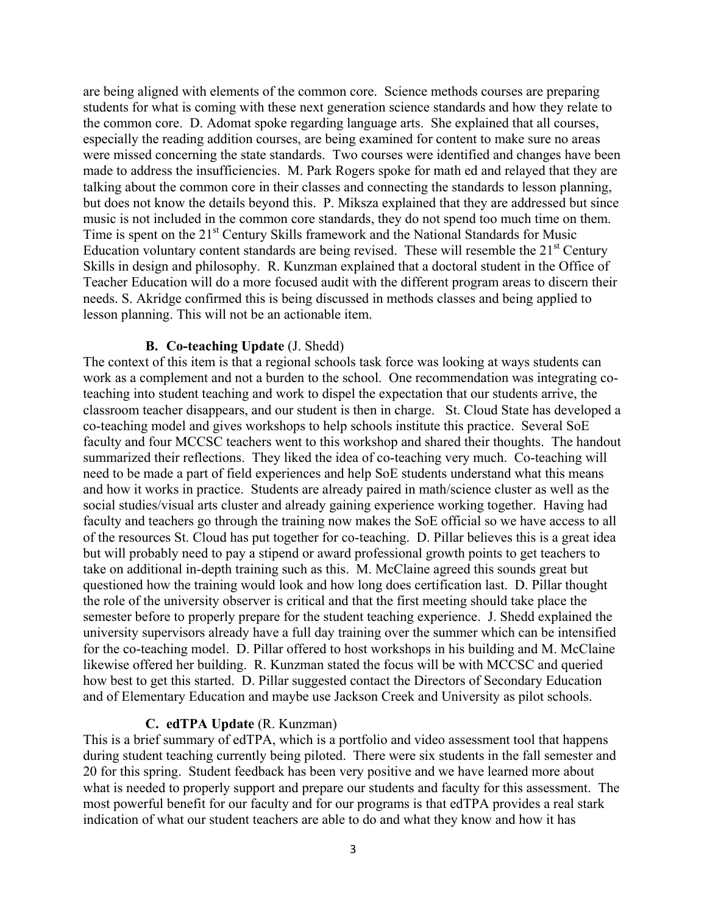are being aligned with elements of the common core. Science methods courses are preparing students for what is coming with these next generation science standards and how they relate to the common core. D. Adomat spoke regarding language arts. She explained that all courses, especially the reading addition courses, are being examined for content to make sure no areas were missed concerning the state standards. Two courses were identified and changes have been made to address the insufficiencies. M. Park Rogers spoke for math ed and relayed that they are talking about the common core in their classes and connecting the standards to lesson planning, but does not know the details beyond this. P. Miksza explained that they are addressed but since music is not included in the common core standards, they do not spend too much time on them. Time is spent on the 21<sup>st</sup> Century Skills framework and the National Standards for Music Education voluntary content standards are being revised. These will resemble the  $21<sup>st</sup>$  Century Skills in design and philosophy. R. Kunzman explained that a doctoral student in the Office of Teacher Education will do a more focused audit with the different program areas to discern their needs. S. Akridge confirmed this is being discussed in methods classes and being applied to lesson planning. This will not be an actionable item.

#### **B. Co-teaching Update** (J. Shedd)

The context of this item is that a regional schools task force was looking at ways students can work as a complement and not a burden to the school. One recommendation was integrating coteaching into student teaching and work to dispel the expectation that our students arrive, the classroom teacher disappears, and our student is then in charge. St. Cloud State has developed a co-teaching model and gives workshops to help schools institute this practice. Several SoE faculty and four MCCSC teachers went to this workshop and shared their thoughts. The handout summarized their reflections. They liked the idea of co-teaching very much. Co-teaching will need to be made a part of field experiences and help SoE students understand what this means and how it works in practice. Students are already paired in math/science cluster as well as the social studies/visual arts cluster and already gaining experience working together. Having had faculty and teachers go through the training now makes the SoE official so we have access to all of the resources St. Cloud has put together for co-teaching. D. Pillar believes this is a great idea but will probably need to pay a stipend or award professional growth points to get teachers to take on additional in-depth training such as this. M. McClaine agreed this sounds great but questioned how the training would look and how long does certification last. D. Pillar thought the role of the university observer is critical and that the first meeting should take place the semester before to properly prepare for the student teaching experience. J. Shedd explained the university supervisors already have a full day training over the summer which can be intensified for the co-teaching model. D. Pillar offered to host workshops in his building and M. McClaine likewise offered her building. R. Kunzman stated the focus will be with MCCSC and queried how best to get this started. D. Pillar suggested contact the Directors of Secondary Education and of Elementary Education and maybe use Jackson Creek and University as pilot schools.

#### **C. edTPA Update** (R. Kunzman)

This is a brief summary of edTPA, which is a portfolio and video assessment tool that happens during student teaching currently being piloted. There were six students in the fall semester and 20 for this spring. Student feedback has been very positive and we have learned more about what is needed to properly support and prepare our students and faculty for this assessment. The most powerful benefit for our faculty and for our programs is that edTPA provides a real stark indication of what our student teachers are able to do and what they know and how it has